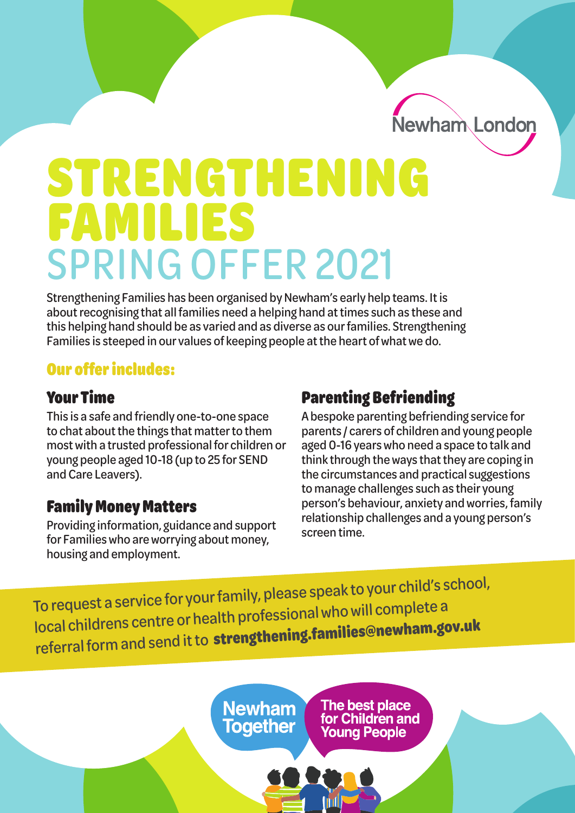Newham London

# STRENGTHENING FAMILIES SPRING OFFER 2021

Strengthening Families has been organised by Newham's early help teams. It is about recognising that all families need a helping hand at times such as these and this helping hand should be as varied and as diverse as our families. Strengthening Families is steeped in our values of keeping people at the heart of what we do.

## Our offer includes:

## Your Time

This is a safe and friendly one-to-one space to chat about the things that matter to them most with a trusted professional for children or young people aged 10-18 (up to 25 for SEND and Care Leavers).

## Family Money Matters

Providing information, guidance and support for Families who are worrying about money, housing and employment.

# Parenting Befriending

A bespoke parenting befriending service for parents / carers of children and young people aged 0-16 years who need a space to talk and think through the ways that they are coping in the circumstances and practical suggestions to manage challenges such as their young person's behaviour, anxiety and worries, family relationship challenges and a young person's screen time.

To request a service for your family, please speak to your child's school, local childrens centre or health professional who will complete a referral form and send it to **[strengthening.families@new](mailto:strengthening.families@newham.gov.uk)ham.gov.u<sup>k</sup>**